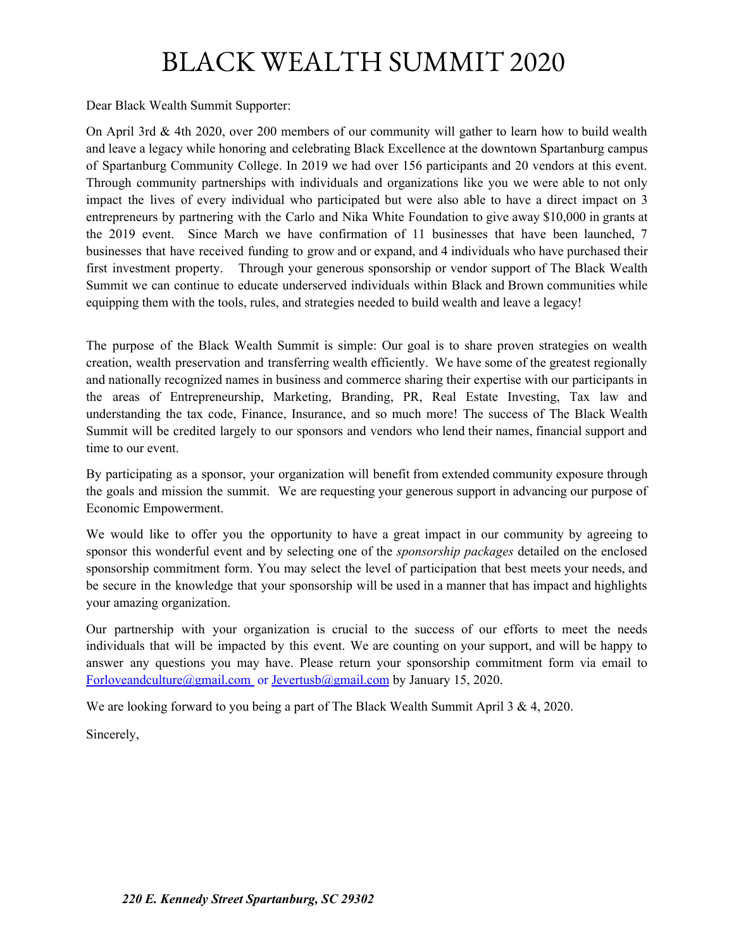## BLACK WEALTH SUMMIT 2020

Dear Black Wealth Summit Supporter:

On April 3rd & 4th 2020, over 200 members of our community will gather to learn how to build wealth and leave a legacy while honoring and celebrating Black Excellence at the downtown Spartanburg campus of Spartanburg Community College. In 2019 we had over 156 participants and 20 vendors at this event. Through community partnerships with individuals and organizations like you we were able to not only impact the lives of every individual who participated but were also able to have a direct impact on 3 entrepreneurs by partnering with the Carlo and Nika White Foundation to give away \$10,000 in grants at the 2019 event. Since March we have confirmation of 11 businesses that have been launched, 7 businesses that have received funding to grow and or expand, and 4 individuals who have purchased their first investment property. Through your generous sponsorship or vendor support of The Black Wealth Summit we can continue to educate underserved individuals within Black and Brown communities while equipping them with the tools, rules, and strategies needed to build wealth and leave a legacy!

The purpose of the Black Wealth Summit is simple: Our goal is to share proven strategies on wealth creation, wealth preservation and transferring wealth efficiently. We have some of the greatest regionally and nationally recognized names in business and commerce sharing their expertise with our participants in the areas of Entrepreneurship, Marketing, Branding, PR, Real Estate Investing, Tax law and understanding the tax code, Finance, Insurance, and so much more! The success of The Black Wealth Summit will be credited largely to our sponsors and vendors who lend their names, financial support and time to our event.

By participating as a sponsor, your organization will benefit from extended community exposure through the goals and mission the summit. We are requesting your generous support in advancing our purpose of Economic Empowerment.

We would like to offer you the opportunity to have a great impact in our community by agreeing to sponsor this wonderful event and by selecting one of the *sponsorship packages* detailed on the enclosed sponsorship commitment form. You may select the level of participation that best meets your needs, and be secure in the knowledge that your sponsorship will be used in a manner that has impact and highlights your amazing organization.

Our partnership with your organization is crucial to the success of our efforts to meet the needs individuals that will be impacted by this event. We are counting on your support, and will be happy to answer any questions you may have. Please return your sponsorship commitment form via email to [Forloveandculture@gmail.com](mailto:Forloveandculture@gmail.com) or Jevertusb@gmail.com by January 15, 2020.

We are looking forward to you being a part of The Black Wealth Summit April 3 & 4, 2020.

Sincerely,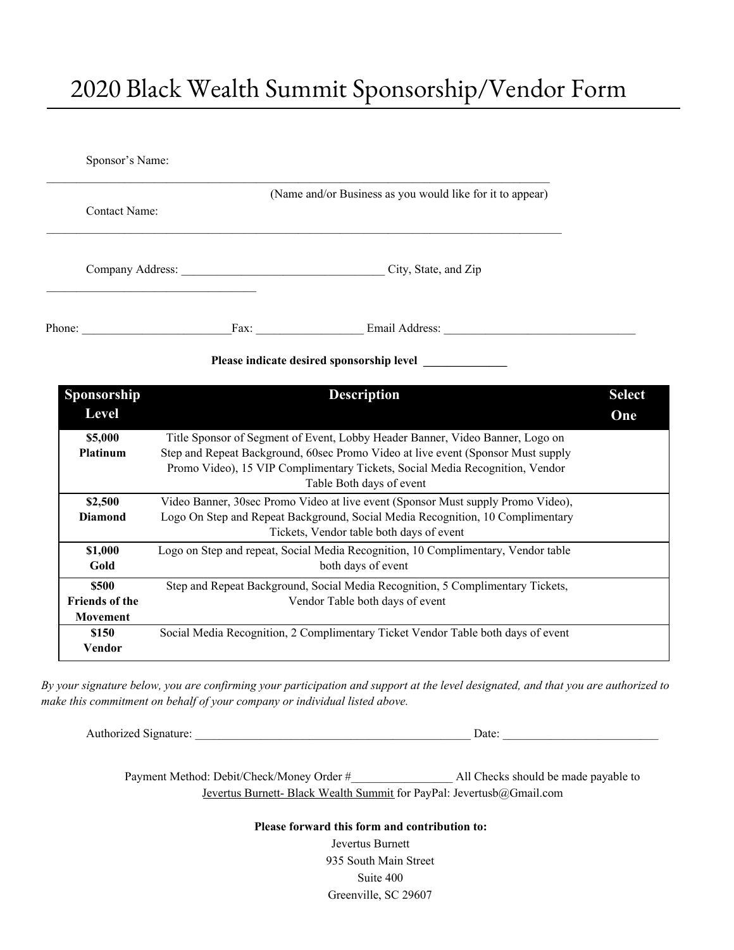## 2020 Black Wealth Summit Sponsorship/Vendor Form

| Sponsor's Name:                           |  |                                                           |  |
|-------------------------------------------|--|-----------------------------------------------------------|--|
| Contact Name:                             |  | (Name and/or Business as you would like for it to appear) |  |
|                                           |  | City, State, and Zip                                      |  |
| Phone:                                    |  | Email Address:<br>Fax: $\qquad \qquad$                    |  |
| Please indicate desired sponsorship level |  |                                                           |  |

| Sponsorship           | <b>Description</b>                                                                | <b>Select</b> |
|-----------------------|-----------------------------------------------------------------------------------|---------------|
| Level                 |                                                                                   | One           |
| \$5,000               | Title Sponsor of Segment of Event, Lobby Header Banner, Video Banner, Logo on     |               |
| <b>Platinum</b>       | Step and Repeat Background, 60sec Promo Video at live event (Sponsor Must supply  |               |
|                       | Promo Video), 15 VIP Complimentary Tickets, Social Media Recognition, Vendor      |               |
|                       | Table Both days of event                                                          |               |
| \$2,500               | Video Banner, 30sec Promo Video at live event (Sponsor Must supply Promo Video),  |               |
| <b>Diamond</b>        | Logo On Step and Repeat Background, Social Media Recognition, 10 Complimentary    |               |
|                       | Tickets, Vendor table both days of event                                          |               |
| \$1,000               | Logo on Step and repeat, Social Media Recognition, 10 Complimentary, Vendor table |               |
| Gold                  | both days of event                                                                |               |
| \$500                 | Step and Repeat Background, Social Media Recognition, 5 Complimentary Tickets,    |               |
| <b>Friends of the</b> | Vendor Table both days of event                                                   |               |
| <b>Movement</b>       |                                                                                   |               |
| \$150                 | Social Media Recognition, 2 Complimentary Ticket Vendor Table both days of event  |               |
| Vendor                |                                                                                   |               |

By your signature below, you are confirming your participation and support at the level designated, and that you are authorized to *make this commitment on behalf of your company or individual listed above.*

Authorized Signature: \_\_\_\_\_\_\_\_\_\_\_\_\_\_\_\_\_\_\_\_\_\_\_\_\_\_\_\_\_\_\_\_\_\_\_\_\_\_\_\_\_\_\_\_\_\_ Date: \_\_\_\_\_\_\_\_\_\_\_\_\_\_\_\_\_\_\_\_\_\_\_\_\_\_

Payment Method: Debit/Check/Money Order #\_\_\_\_\_\_\_\_\_\_\_\_\_\_\_\_\_ All Checks should be made payable to Jevertus Burnett- Black Wealth Summit for PayPal: Jevertusb@Gmail.com

**Please forward this form and contribution to:**

Jevertus Burnett 935 South Main Street Suite 400 Greenville, SC 29607